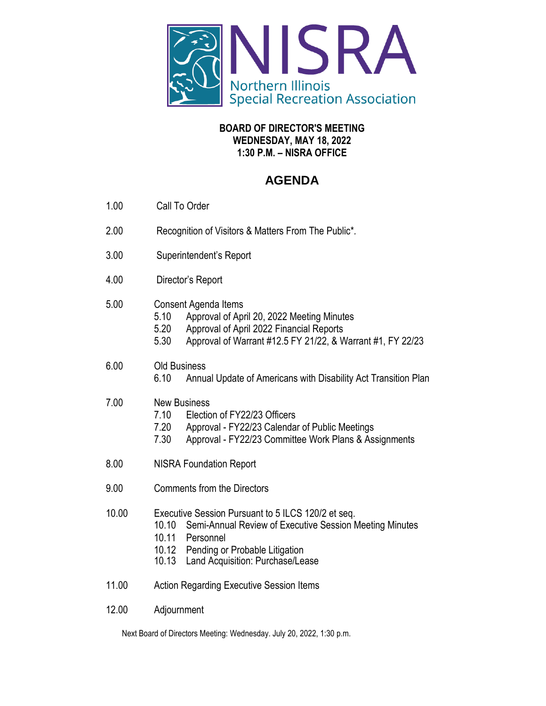

## **BOARD OF DIRECTOR'S MEETING WEDNESDAY, MAY 18, 2022 1:30 P.M. – NISRA OFFICE**

## **AGENDA**

- 1.00 Call To Order
- 2.00 Recognition of Visitors & Matters From The Public\**.*
- 3.00 Superintendent's Report
- 4.00 Director's Report
- 5.00 Consent Agenda Items
	- 5.10 Approval of April 20, 2022 Meeting Minutes
	- 5.20 Approval of April 2022 Financial Reports
	- 5.30 Approval of Warrant #12.5 FY 21/22, & Warrant #1, FY 22/23

## 6.00 Old Business

6.10 Annual Update of Americans with Disability Act Transition Plan

## 7.00 New Business

- 7.10 Election of FY22/23 Officers
- 7.20 Approval FY22/23 Calendar of Public Meetings
- 7.30 Approval FY22/23 Committee Work Plans & Assignments
- 8.00 NISRA Foundation Report
- 9.00 Comments from the Directors
- 10.00 Executive Session Pursuant to 5 ILCS 120/2 et seq.
	- 10.10 Semi-Annual Review of Executive Session Meeting Minutes
		- 10.11 Personnel
		- 10.12 Pending or Probable Litigation
	- 10.13 Land Acquisition: Purchase/Lease
- 11.00 Action Regarding Executive Session Items
- 12.00 Adjournment

Next Board of Directors Meeting: Wednesday. July 20, 2022, 1:30 p.m.